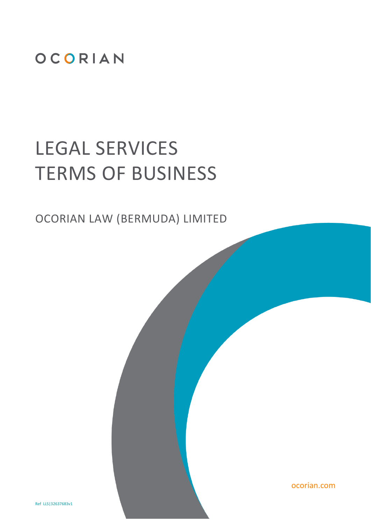

# LEGAL SERVICES TERMS OF BUSINESS

OCORIAN LAW (BERMUDA) LIMITED

ocorian.com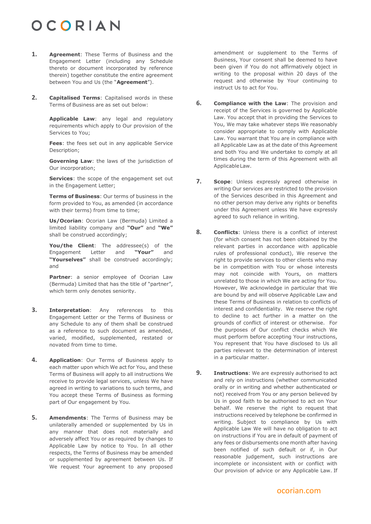- **1. Agreement**: These Terms of Business and the Engagement Letter (including any Schedule thereto or document incorporated by reference therein) together constitute the entire agreement between You and Us (the "**Agreement**").
- **2. Capitalised Terms**: Capitalised words in these Terms of Business are as set out below:

**Applicable Law**: any legal and regulatory requirements which apply to Our provision of the Services to You;

**Fees**: the fees set out in any applicable Service Description;

**Governing Law**: the laws of the jurisdiction of Our incorporation;

**Services**: the scope of the engagement set out in the Engagement Letter;

**Terms of Business**: Our terms of business in the form provided to You, as amended (in accordance with their terms) from time to time;

**Us/Ocorian**: Ocorian Law (Bermuda) Limited a limited liability company and **"Our"** and **"We"** shall be construed accordingly;

**You/the Client**: The addressee(s) of the Engagement Letter and **"Your"** and **"Yourselves"** shall be construed accordingly; and

Partner: a senior employee of Ocorian Law (Bermuda) Limited that has the title of "partner", which term only denotes seniority.

- **3. Interpretation**: Any references to this Engagement Letter or the Terms of Business or any Schedule to any of them shall be construed as a reference to such document as amended, varied, modified, supplemented, restated or novated from time to time.
- **4. Application**: Our Terms of Business apply to each matter upon which We act for You, and these Terms of Business will apply to all instructions We receive to provide legal services, unless We have agreed in writing to variations to such terms, and You accept these Terms of Business as forming part of Our engagement by You.
- <span id="page-1-0"></span>**5. Amendments**: The Terms of Business may be unilaterally amended or supplemented by Us in any manner that does not materially and adversely affect You or as required by changes to Applicable Law by notice to You. In all other respects, the Terms of Business may be amended or supplemented by agreement between Us. If We request Your agreement to any proposed

amendment or supplement to the Terms of Business, Your consent shall be deemed to have been given if You do not affirmatively object in writing to the proposal within 20 days of the request and otherwise by Your continuing to instruct Us to act for You.

- **6. Compliance with the Law**: The provision and receipt of the Services is governed by Applicable Law. You accept that in providing the Services to You, We may take whatever steps We reasonably consider appropriate to comply with Applicable Law. You warrant that You are in compliance with all Applicable Law as at the date of this Agreement and both You and We undertake to comply at all times during the term of this Agreement with all ApplicableLaw.
- **7. Scope**: Unless expressly agreed otherwise in writing Our services are restricted to the provision of the Services described in this Agreement and no other person may derive any rights or benefits under this Agreement unless We have expressly agreed to such reliance in writing.
- **8. Conflicts**: Unless there is a conflict of interest (for which consent has not been obtained by the relevant parties in accordance with applicable rules of professional conduct), We reserve the right to provide services to other clients who may be in competition with You or whose interests may not coincide with Yours, on matters unrelated to those in which We are acting for You. However, We acknowledge in particular that We are bound by and will observe Applicable Law and these Terms of Business in relation to conflicts of interest and confidentiality. We reserve the right to decline to act further in a matter on the grounds of conflict of interest or otherwise. For the purposes of Our conflict checks which We must perform before accepting Your instructions, You represent that You have disclosed to Us all parties relevant to the determination of interest in a particular matter.
- **9. Instructions**: We are expressly authorised to act and rely on instructions (whether communicated orally or in writing and whether authenticated or not) received from You or any person believed by Us in good faith to be authorised to act on Your behalf. We reserve the right to request that instructions received by telephone be confirmed in writing. Subject to compliance by Us with Applicable Law We will have no obligation to act on instructions if You are in default of payment of any fees or disbursements one month after having been notified of such default or if, in Our reasonable judgement, such instructions are incomplete or inconsistent with or conflict with Our provision of advice or any Applicable Law. If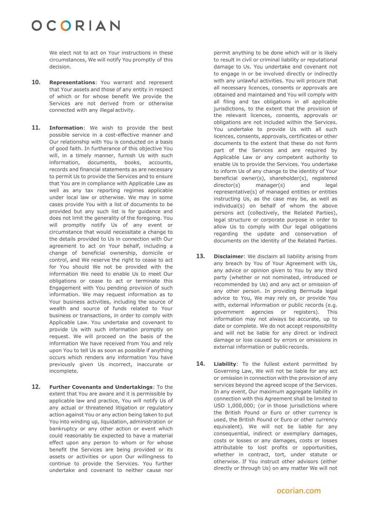We elect not to act on Your instructions in these circumstances, We will notify You promptly of this decision.

- **10. Representations**: You warrant and represent that Your assets and those of any entity in respect of which or for whose benefit We provide the Services are not derived from or otherwise connected with any illegal activity.
- **11. Information**: We wish to provide the best possible service in a cost-effective manner and Our relationship with You is conducted on a basis of good faith. In furtherance of this objective You will, in a timely manner, furnish Us with such information, documents, books, accounts, records and financial statements as are necessary to permit Us to provide the Services and to ensure that You are in compliance with Applicable Law as well as any tax reporting regimes applicable under local law or otherwise. We may in some cases provide You with a list of documents to be provided but any such list is for guidance and does not limit the generality of the foregoing. You will promptly notify Us of any event or circumstance that would necessitate a change to the details provided to Us in connection with Our agreement to act on Your behalf, including a change of beneficial ownership, domicile or control, and We reserve the right to cease to act for You should We not be provided with the information We need to enable Us to meet Our obligations or cease to act or terminate this Engagement with You pending provision of such information. We may request information as to Your business activities, including the source of wealth and source of funds related to Your business or transactions, in order to comply with Applicable Law. You undertake and covenant to provide Us with such information promptly on request. We will proceed on the basis of the information We have received from You and rely upon You to tell Us as soon as possible if anything occurs which renders any information You have previously given Us incorrect, inaccurate or incomplete.
- **12. Further Covenants and Undertakings**: To the extent that You are aware and it is permissible by applicable law and practice, You will notify Us of any actual or threatened litigation or regulatory action against You or any action being taken to put You into winding up, liquidation, administration or bankruptcy or any other action or event which could reasonably be expected to have a material effect upon any person to whom or for whose benefit the Services are being provided or its assets or activities or upon Our willingness to continue to provide the Services. You further undertake and covenant to neither cause nor

permit anything to be done which will or is likely to result in civil or criminal liability or reputational damage to Us. You undertake and covenant not to engage in or be involved directly or indirectly with any unlawful activities. You will procure that all necessary licences, consents or approvals are obtained and maintained and You will comply with all filing and tax obligations in all applicable jurisdictions, to the extent that the provision of the relevant licences, consents, approvals or obligations are not included within the Services. You undertake to provide Us with all such licences, consents, approvals, certificates or other documents to the extent that these do not form part of the Services and are required by Applicable Law or any competent authority to enable Us to provide the Services. You undertake to inform Us of any change to the identity of Your beneficial owner(s), shareholder(s), registered director(s) manager(s) and legal representative(s) of managed entities or entities instructing Us, as the case may be, as well as individual(s) on behalf of whom the above persons act (collectively, the Related Parties), legal structure or corporate purpose in order to allow Us to comply with Our legal obligations regarding the update and conservation of documents on the identity of the Related Parties.

- <span id="page-2-0"></span>**13. Disclaimer**: We disclaim all liability arising from any breach by You of Your Agreement with Us, any advice or opinion given to You by any third party (whether or not nominated, introduced or recommended by Us) and any act or omission of any other person. In providing Bermuda legal advice to You, We may rely on, or provide You with, external information or public records (e.g. government agencies or registers). This information may not always be accurate, up to date or complete. We do not accept responsibility and will not be liable for any direct or indirect damage or loss caused by errors or omissions in external information or public records.
- <span id="page-2-1"></span>**14. Liability**: To the fullest extent permitted by Governing Law, We will not be liable for any act or omission in connection with the provision of any services beyond the agreed scope of the Services. In any event, Our maximum aggregate liability in connection with this Agreement shall be limited to USD 1,000,000; (or in those jurisdictions where the British Pound or Euro or other currency is used, the British Pound or Euro or other currency equivalent). We will not be liable for any consequential, indirect or exemplary damages, costs or losses or any damages, costs or losses attributable to lost profits or opportunities, whether in contract, tort, under statute or otherwise. If You instruct other advisors (either directly or through Us) on any matter We will not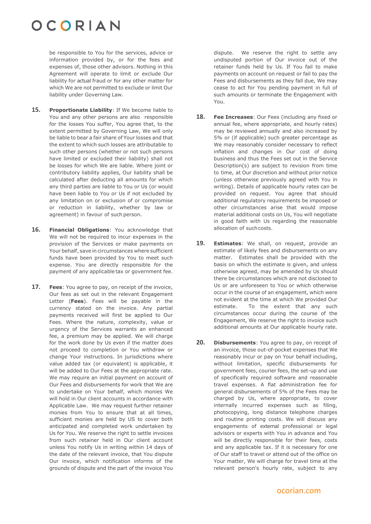be responsible to You for the services, advice or information provided by, or for the fees and expenses of, those other advisors. Nothing in this Agreement will operate to limit or exclude Our liability for actual fraud or for any other matter for which We are not permitted to exclude or limit Our liability under Governing Law.

- <span id="page-3-0"></span>**15. Proportionate Liability**: If We become liable to You and any other persons are also responsible for the losses You suffer, You agree that, to the extent permitted by Governing Law, We will only be liable to bear a fair share of Your losses and that the extent to which such losses are attributable to such other persons (whether or not such persons have limited or excluded their liability) shall not be losses for which We are liable. Where joint or contributory liability applies, Our liability shall be calculated after deducting all amounts for which any third parties are liable to You or Us (or would have been liable to You or Us if not excluded by any limitation on or exclusion of or compromise or reduction in liability, whether by law or agreement) in favour of such person.
- <span id="page-3-1"></span>**16. Financial Obligations**: You acknowledge that We will not be required to incur expenses in the provision of the Services or make payments on Your behalf, save in circumstances where sufficient funds have been provided by You to meet such expense. You are directly responsible for the payment of any applicable tax or government fee.
- **17. Fees**: You agree to pay, on receipt of the invoice, Our fees as set out in the relevant Engagement Letter (**Fees**). Fees will be payable in the currency stated on the invoice. Any partial payments received will first be applied to Our Fees. Where the nature, complexity, value or urgency of the Services warrants an enhanced fee, a premium may be applied. We will charge for the work done by Us even if the matter does not proceed to completion or You withdraw or change Your instructions. In jurisdictions where value added tax (or equivalent) is applicable, it will be added to Our Fees at the appropriate rate. We may require an initial payment on account of Our Fees and disbursements for work that We are to undertake on Your behalf, which monies We will hold in Our client accounts in accordance with Applicable Law. We may request further retainer monies from You to ensure that at all times, sufficient monies are held by US to cover both anticipated and completed work undertaken by Us for You. We reserve the right to settle invoices from such retainer held in Our client account unless You notify Us in writing within 14 days of the date of the relevant invoice, that You dispute Our invoice, which notification informs of the grounds of dispute and the part of the invoice You

<span id="page-3-2"></span>dispute. We reserve the right to settle any undisputed portion of Our invoice out of the retainer funds held by Us. If You fail to make payments on account on request or fail to pay the Fees and disbursements as they fall due, We may cease to act for You pending payment in full of such amounts or terminate the Engagement with You.

- <span id="page-3-3"></span>**18. Fee Increases**: Our Fees (including any fixed or annual fee, where appropriate, and hourly rates) may be reviewed annually and also increased by 5% or (if applicable) such greater percentage as We may reasonably consider necessary to reflect inflation and changes in Our cost of doing business and thus the Fees set out in the Service Description(s) are subject to revision from time to time, at Our discretion and without prior notice (unless otherwise previously agreed with You in writing). Details of applicable hourly rates can be provided on request. You agree that should additional regulatory requirements be imposed or other circumstances arise that would impose material additional costs on Us, You will negotiate in good faith with Us regarding the reasonable allocation of such costs.
- **19. Estimates**: We shall, on request, provide an estimate of likely fees and disbursements on any matter. Estimates shall be provided with the basis on which the estimate is given, and unless otherwise agreed, may be amended by Us should there be circumstances which are not disclosed to Us or are unforeseen to You or which otherwise occur in the course of an engagement, which were not evident at the time at which We provided Our estimate. To the extent that any such circumstances occur during the course of the Engagement, We reserve the right to invoice such additional amounts at Our applicable hourly rate.
- **20. Disbursements**: You agree to pay, on receipt of an invoice, those out-of-pocket expenses that We reasonably incur or pay on Your behalf including, without limitation, specific disbursements for government fees, courier fees, the set-up and use of specifically required software and reasonable travel expenses. A flat administration fee for general disbursements of 5% of the Fees may be charged by Us, where appropriate, to cover internally incurred expenses such as filing, photocopying, long distance telephone charges and routine printing costs. We will discuss any engagements of external professional or legal advisors or experts with You in advance and You will be directly responsible for their fees, costs and any applicable tax. If it is necessary for one of Our staff to travel or attend out of the office on Your matter, We will charge for travel time at the relevant person's hourly rate, subject to any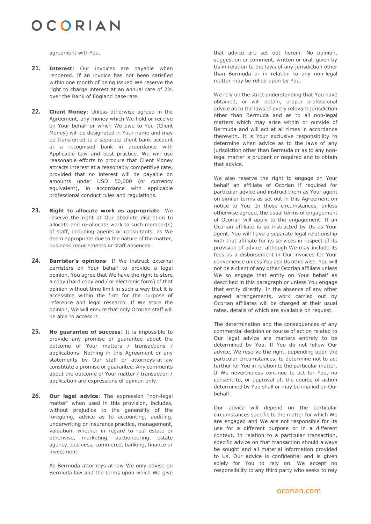agreement with You.

- **21. Interest**: Our invoices are payable when rendered. If an invoice has not been satisfied within one month of being issued We reserve the right to charge interest at an annual rate of 2% over the Bank of England base rate.
- **22. Client Money**: Unless otherwise agreed in the Agreement, any money which We hold or receive on Your behalf or which We owe to You (Client Money) will be designated in Your name and may be transferred to a separate client bank account at a recognised bank in accordance with Applicable Law and best practice. We will use reasonable efforts to procure that Client Money attracts interest at a reasonably competitive rate, provided that no interest will be payable on amounts under USD 50,000 (or currency equivalent), in accordance with applicable professional conduct rules and regulations.
- **23. Right to allocate work as appropriate**: We reserve the right at Our absolute discretion to allocate and re-allocate work to such member(s) of staff, including agents or consultants, as We deem appropriate due to the nature of the matter, business requirements or staff absences.
- **24. Barrister's opinions**: If We instruct external barristers on Your behalf to provide a legal opinion, You agree that We have the right to store a copy (hard copy and / or electronic form) of that opinion without time limit in such a way that it is accessible within the firm for the purpose of reference and legal research. If We store the opinion, We will ensure that only Ocorian staff will be able to access it.
- **25. No guarantee of success**: It is impossible to provide any promise or guarantee about the outcome of Your matters / transactions / applications. Nothing in this Agreement or any statements by Our staff or attorneys-at-law constitute a promise or guarantee. Any comments about the outcome of Your matter / transaction / application are expressions of opinion only.
- **26. Our legal advice**: The expression "non-legal matter" when used in this provision, includes, without prejudice to the generality of the foregoing, advice as to accounting, auditing, underwriting or insurance practice, management, valuation, whether in regard to real estate or otherwise, marketing, auctioneering, estate agency, business, commerce, banking, finance or investment.

As Bermuda attorneys-at-law We only advise on Bermuda law and the terms upon which We give

that advice are set out herein. No opinion, suggestion or comment, written or oral, given by Us in relation to the laws of any jurisdiction other than Bermuda or in relation to any non-legal matter may be relied upon by You.

We rely on the strict understanding that You have obtained, or will obtain, proper professional advice as to the laws of every relevant jurisdiction other than Bermuda and as to all non-legal matters which may arise within or outside of Bermuda and will act at all times in accordance therewith. It is Your exclusive responsibility to determine when advice as to the laws of any jurisdiction other than Bermuda or as to any nonlegal matter is prudent or required and to obtain that advice.

We also reserve the right to engage on Your behalf an affiliate of Ocorian if required for particular advice and instruct them as Your agent on similar terms as set out in this Agreement on notice to You. In those circumstances, unless otherwise agreed, the usual terms of engagement of Ocorian will apply to the engagement. If an Ocorian affiliate is so instructed by Us as Your agent, You will have a separate legal relationship with that affiliate for its services in respect of its provision of advice, although We may include its fees as a disbursement in Our invoices for Your convenience unless You ask Us otherwise. You will not be a client of any other Ocorian affiliate unless We so engage that entity on Your behalf as described in this paragraph or unless You engage that entity directly. In the absence of any other agreed arrangements, work carried out by Ocorian affiliates will be charged at their usual rates, details of which are available on request.

The determination and the consequences of any commercial decision or course of action related to Our legal advice are matters entirely to be determined by You. If You do not follow Our advice, We reserve the right, depending upon the particular circumstances, to determine not to act further for You in relation to the particular matter. If We nevertheless continue to act for You, no consent to, or approval of, the course of action determined by You shall or may be implied on Our behalf.

Our advice will depend on the particular circumstances specific to the matter for which We are engaged and We are not responsible for its use for a different purpose or in a different context. In relation to a particular transaction, specific advice on that transaction should always be sought and all material information provided to Us. Our advice is confidential and is given solely for You to rely on. We accept no responsibility to any third party who seeks to rely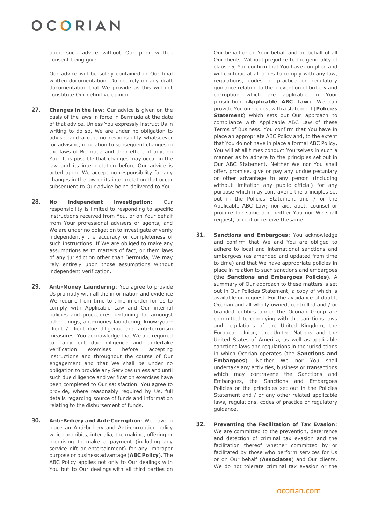upon such advice without Our prior written consent being given.

Our advice will be solely contained in Our final written documentation. Do not rely on any draft documentation that We provide as this will not constitute Our definitive opinion.

- **27. Changes in the law**: Our advice is given on the basis of the laws in force in Bermuda at the date of that advice. Unless You expressly instruct Us in writing to do so, We are under no obligation to advise, and accept no responsibility whatsoever for advising, in relation to subsequent changes in the laws of Bermuda and their effect, if any, on You. It is possible that changes may occur in the law and its interpretation before Our advice is acted upon. We accept no responsibility for any changes in the law or its interpretation that occur subsequent to Our advice being delivered to You.
- **28. No independent investigation**: Our responsibility is limited to responding to specific instructions received from You, or on Your behalf from Your professional advisers or agents, and We are under no obligation to investigate or verify independently the accuracy or completeness of such instructions. If We are obliged to make any assumptions as to matters of fact, or them laws of any jurisdiction other than Bermuda, We may rely entirely upon those assumptions without independent verification.
- <span id="page-5-0"></span>**29. Anti-Money Laundering**: You agree to provide Us promptly with all the information and evidence We require from time to time in order for Us to comply with Applicable Law and Our internal policies and procedures pertaining to, amongst other things, anti-money laundering, know-yourclient / client due diligence and anti-terrorism measures. You acknowledge that We are required to carry out due diligence and undertake verification exercises before accepting instructions and throughout the course of Our engagement and that We shall be under no obligation to provide any Services unless and until such due diligence and verification exercises have been completed to Our satisfaction. You agree to provide, where reasonably required by Us, full details regarding source of funds and information relating to the disbursement of funds.
- **30. Anti-Bribery and Anti-Corruption**: We have in place an Anti-bribery and Anti-corruption policy which prohibits, inter alia, the making, offering or promising to make a payment (including any service gift or entertainment) for any improper purpose or business advantage (**ABC Policy**). The ABC Policy applies not only to Our dealings with You but to Our dealings with all third parties on

Our behalf or on Your behalf and on behalf of all Our clients. Without prejudice to the generality of claus[e 5,](#page-1-0) You confirm that You have complied and will continue at all times to comply with any law. regulations, codes of practice or regulatory guidance relating to the prevention of bribery and corruption which are applicable in Your jurisdiction (**Applicable ABC Law**). We can provide You on request with a statement (**Policies Statement**) which sets out Our approach to compliance with Applicable ABC Law of these Terms of Business. You confirm that You have in place an appropriate ABC Policy and, to the extent that You do not have in place a formal ABC Policy, You will at all times conduct Yourselves in such a manner as to adhere to the principles set out in Our ABC Statement. Neither We nor You shall offer, promise, give or pay any undue pecuniary or other advantage to any person (including without limitation any public official) for any purpose which may contravene the principles set out in the Policies Statement and / or the Applicable ABC Law; nor aid, abet, counsel or procure the same and neither You nor We shall request, accept or receive thesame.

- **31. Sanctions and Embargoes**: You acknowledge and confirm that We and You are obliged to adhere to local and international sanctions and embargoes (as amended and updated from time to time) and that We have appropriate policies in place in relation to such sanctions and embargoes (the **Sanctions and Embargoes Policies**). A summary of Our approach to these matters is set out in Our Policies Statement, a copy of which is available on request. For the avoidance of doubt, Ocorian and all wholly owned, controlled and / or branded entities under the Ocorian Group are committed to complying with the sanctions laws and regulations of the United Kingdom, the European Union, the United Nations and the United States of America, as well as applicable sanctions laws and regulations in the jurisdictions in which Ocorian operates (the **Sanctions and Embargoes**). Neither We nor You shall undertake any activities, business or transactions which may contravene the Sanctions and Embargoes, the Sanctions and Embargoes Policies or the principles set out in the Policies Statement and / or any other related applicable laws, regulations, codes of practice or regulatory guidance.
- <span id="page-5-1"></span>**32. Preventing the Facilitation of Tax Evasion**: We are committed to the prevention, deterrence and detection of criminal tax evasion and the facilitation thereof whether committed by or facilitated by those who perform services for Us or on Our behalf (**Associates**) and Our clients. We do not tolerate criminal tax evasion or the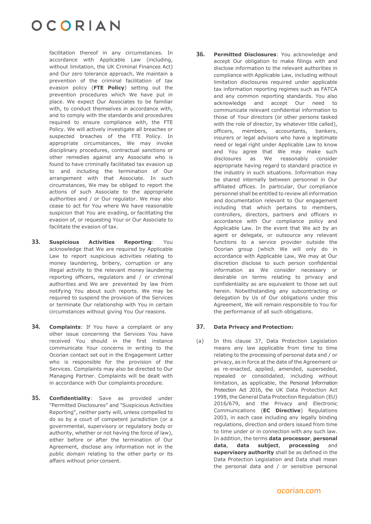facilitation thereof in any circumstances. In accordance with Applicable Law (including, without limitation, the UK Criminal Finances Act) and Our zero tolerance approach, We maintain a prevention of the criminal facilitation of tax evasion policy (**FTE Policy**) setting out the prevention procedures which We have put in place. We expect Our Associates to be familiar with, to conduct themselves in accordance with, and to comply with the standards and procedures required to ensure compliance with, the FTE Policy. We will actively investigate all breaches or suspected breaches of the FTE Policy. In appropriate circumstances, We may invoke disciplinary procedures, contractual sanctions or other remedies against any Associate who is found to have criminally facilitated tax evasion up to and including the termination of Our arrangement with that Associate. In such circumstances, We may be obliged to report the actions of such Associate to the appropriate authorities and / or Our regulator. We may also cease to act for You where We have reasonable suspicion that You are evading, or facilitating the evasion of, or requesting Your or Our Associate to facilitate the evasion of tax.

- <span id="page-6-1"></span>**33. Suspicious Activities Reporting**: You acknowledge that We are required by Applicable Law to report suspicious activities relating to money laundering, bribery, corruption or any illegal activity to the relevant money laundering reporting officers, regulators and / or criminal authorities and We are prevented by law from notifying You about such reports. We may be required to suspend the provision of the Services or terminate Our relationship with You in certain circumstances without giving You Our reasons.
- <span id="page-6-2"></span>**34. Complaints**: If You have a complaint or any other issue concerning the Services You have received You should in the first instance communicate Your concerns in writing to the Ocorian contact set out in the Engagement Letter who is responsible for the provision of the Services. Complaints may also be directed to Our Managing Partner. Complaints will be dealt with in accordance with Our complaints procedure.
- **35. Confidentiality**: Save as provided under "Permitted Disclosures" and "Suspicious Activities Reporting", neither party will, unless compelled to do so by a court of competent jurisdiction (or a governmental, supervisory or regulatory body or authority, whether or not having the force of law), either before or after the termination of Our Agreement, disclose any information not in the public domain relating to the other party or its affairs without prior consent.

**36. Permitted Disclosures**: You acknowledge and accept Our obligation to make filings with and disclose information to the relevant authorities in compliance with Applicable Law, including without limitation disclosures required under applicable tax information reporting regimes such as FATCA and any common reporting standards. You also acknowledge and accept Our need to communicate relevant confidential information to those of Your directors (or other persons tasked with the role of director, by whatever title called), officers, members, accountants, bankers, insurers or legal advisors who have a legitimate need or legal right under Applicable Law to know and You agree that We may make such disclosures as We reasonably consider appropriate having regard to standard practice in the industry in such situations. Information may be shared internally between personnel in Our affiliated offices. In particular, Our compliance personnel shall be entitled to review all information and documentation relevant to Our engagement including that which pertains to members, controllers, directors, partners and officers in accordance with Our compliance policy and Applicable Law. In the event that We act by an agent or delegate, or outsource any relevant functions to a service provider outside the Ocorian group (which We will only do in accordance with Applicable Law, We may at Our discretion disclose to such person confidential information as We consider necessary or desirable on terms relating to privacy and confidentiality as are equivalent to those set out herein. Notwithstanding any subcontracting or delegation by Us of Our obligations under this Agreement, We will remain responsible to You for the performance of all such obligations.

#### <span id="page-6-0"></span>**37. Data Privacy and Protection:**

(a) In this clause [37,](#page-6-0) Data Protection Legislation means any law applicable from time to time relating to the processing of personal data and / or privacy, as in force at the date of the Agreement or as re-enacted, applied, amended, superseded, repealed or consolidated, including without limitation, as applicable, the Personal Information Protection Act 2016, the UK Data Protection Act 1998, the General Data Protection Regulation (EU) 2016/679, and the Privacy and Electronic Communications (**EC Directive**) Regulations 2003, in each case including any legally binding regulations, direction and orders issued from time to time under or in connection with any such law. In addition, the terms **data processor**, **personal data**, **data subject**, **processing** and **supervisory authority** shall be as defined in the Data Protection Legislation and Data shall mean the personal data and / or sensitive personal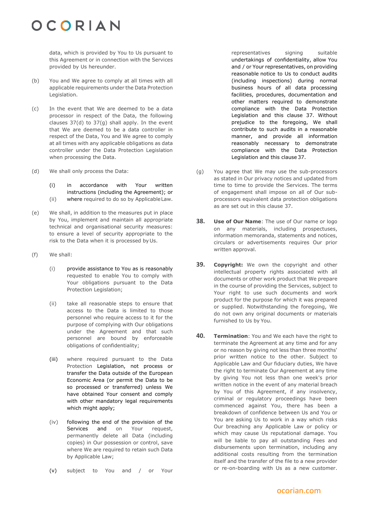data, which is provided by You to Us pursuant to this Agreement or in connection with the Services provided by Us hereunder.

- (b) You and We agree to comply at all times with all applicable requirements under the Data Protection Legislation.
- (c) In the event that We are deemed to be a data processor in respect of the Data, the following clauses 37(d) to 37(g) shall apply. In the event that We are deemed to be a data controller in respect of the Data, You and We agree to comply at all times with any applicable obligations as data controller under the Data Protection Legislation when processing the Data.
- (d) We shall only process the Data:

(i) in accordance with Your written instructions (including the Agreement); or (ii) where required to do so by ApplicableLaw.

- (e) We shall, in addition to the measures put in place by You, implement and maintain all appropriate technical and organisational security measures: to ensure a level of security appropriate to the risk to the Data when it is processed by Us.
- (f) We shall:
	- (i) provide assistance to You as is reasonably requested to enable You to comply with Your obligations pursuant to the Data Protection Legislation;
	- (ii) take all reasonable steps to ensure that access to the Data is limited to those personnel who require access to it for the purpose of complying with Our obligations under the Agreement and that such personnel are bound by enforceable obligations of confidentiality;
	- (iii) where required pursuant to the Data Protection Legislation, not process or transfer the Data outside of the European Economic Area (or permit the Data to be so processed or transferred) unless We have obtained Your consent and comply with other mandatory legal requirements which might apply;
	- (iv) following the end of the provision of the Services and on Your request, permanently delete all Data (including copies) in Our possession or control, save where We are required to retain such Data by Applicable Law;
	- (v) subject to You and / or Your

representatives signing suitable undertakings of confidentiality, allow You and / or Your representatives, on providing reasonable notice to Us to conduct audits (including inspections) during normal business hours of all data processing facilities, procedures, documentation and other matters required to demonstrate compliance with the Data Protection Legislation and this clause [37.](#page-6-0) Without prejudice to the foregoing, We shall contribute to such audits in a reasonable manner, and provide all information reasonably necessary to demonstrate compliance with the Data Protection Legislation and this clause [37.](#page-6-0)

- (g) You agree that We may use the sub-processors as stated in Our privacy notices and updated from time to time to provide the Services. The terms of engagement shall impose on all of Our subprocessors equivalent data protection obligations as are set out in this clause [37.](#page-6-0)
- **38. Use of Our Name**: The use of Our name or logo on any materials, including prospectuses, information memoranda, statements and notices, circulars or advertisements requires Our prior written approval.
- <span id="page-7-0"></span>**39. Copyright:** We own the copyright and other intellectual property rights associated with all documents or other work product that We prepare in the course of providing the Services, subject to Your right to use such documents and work product for the purpose for which it was prepared or supplied. Notwithstanding the foregoing, We do not own any original documents or materials furnished to Us by You.
- **40. Termination**: You and We each have the right to terminate the Agreement at any time and for any or no reason by giving not less than three months' prior written notice to the other. Subject to Applicable Law and Our fiduciary duties, We have the right to terminate Our Agreement at any time by giving You not less than one week's prior written notice in the event of any material breach by You of this Agreement, if any insolvency, criminal or regulatory proceedings have been commenced against You, there has been a breakdown of confidence between Us and You or You are asking Us to work in a way which risks Our breaching any Applicable Law or policy or which may cause Us reputational damage. You will be liable to pay all outstanding Fees and disbursements upon termination, including any additional costs resulting from the termination itself and the transfer of the file to a new provider or re-on-boarding with Us as a new customer.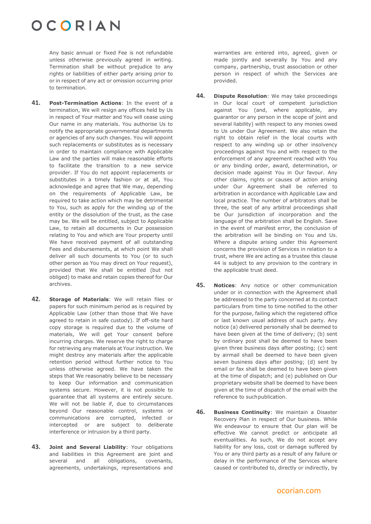Any basic annual or fixed Fee is not refundable unless otherwise previously agreed in writing. Termination shall be without prejudice to any rights or liabilities of either party arising prior to or in respect of any act or omission occurring prior to termination.

- **41. Post-Termination Actions**: In the event of a termination, We will resign any offices held by Us in respect of Your matter and You will cease using Our name in any materials. You authorise Us to notify the appropriate governmental departments or agencies of any such changes. You will appoint such replacements or substitutes as is necessary in order to maintain compliance with Applicable Law and the parties will make reasonable efforts to facilitate the transition to a new service provider. If You do not appoint replacements or substitutes in a timely fashion or at all, You acknowledge and agree that We may, depending on the requirements of Applicable Law, be required to take action which may be detrimental to You, such as apply for the winding up of the entity or the dissolution of the trust, as the case may be. We will be entitled, subject to Applicable Law, to retain all documents in Our possession relating to You and which are Your property until We have received payment of all outstanding Fees and disbursements, at which point We shall deliver all such documents to You (or to such other person as You may direct on Your request), provided that We shall be entitled (but not obliged) to make and retain copies thereof for Our archives.
- <span id="page-8-1"></span>**42. Storage of Materials**: We will retain files or papers for such minimum period as is required by Applicable Law (other than those that We have agreed to retain in safe custody). If off-site hard copy storage is required due to the volume of materials, We will get Your consent before incurring charges. We reserve the right to charge for retrieving any materials at Your instruction. We might destroy any materials after the applicable retention period without further notice to You unless otherwise agreed. We have taken the steps that We reasonably believe to be necessary to keep Our information and communication systems secure. However, it is not possible to guarantee that all systems are entirely secure. We will not be liable if, due to circumstances beyond Our reasonable control, systems or communications are corrupted, infected or intercepted or are subject to deliberate interference or intrusion by a third party.
- **43. Joint and Several Liability**: Your obligations and liabilities in this Agreement are joint and several and all obligations, covenants, agreements, undertakings, representations and

warranties are entered into, agreed, given or made jointly and severally by You and any company, partnership, trust association or other person in respect of which the Services are provided.

- <span id="page-8-0"></span>**44. Dispute Resolution**: We may take proceedings in Our local court of competent jurisdiction against You (and, where applicable, any guarantor or any person in the scope of joint and several liability) with respect to any monies owed to Us under Our Agreement. We also retain the right to obtain relief in the local courts with respect to any winding up or other insolvency proceedings against You and with respect to the enforcement of any agreement reached with You or any binding order, award, determination, or decision made against You in Our favour. Any other claims, rights or causes of action arising under Our Agreement shall be referred to arbitration in accordance with Applicable Law and local practice. The number of arbitrators shall be three, the seat of any arbitral proceedings shall be Our jurisdiction of incorporation and the language of the arbitration shall be English. Save in the event of manifest error, the conclusion of the arbitration will be binding on You and Us. Where a dispute arising under this Agreement concerns the provision of Services in relation to a trust, where We are acting as a trustee this clause [44](#page-8-0) is subject to any provision to the contrary in the applicable trust deed.
- **45. Notices**: Any notice or other communication under or in connection with the Agreement shall be addressed to the party concerned at its contact particulars from time to time notified to the other for the purpose, failing which the registered office or last known usual address of such party. Any notice (a) delivered personally shall be deemed to have been given at the time of delivery; (b) sent by ordinary post shall be deemed to have been given three business days after posting; (c) sent by airmail shall be deemed to have been given seven business days after posting; (d) sent by email or fax shall be deemed to have been given at the time of dispatch; and (e) published on Our proprietary website shall be deemed to have been given at the time of dispatch of the email with the reference to suchpublication.
- **46. Business Continuity**: We maintain a Disaster Recovery Plan in respect of Our business. While We endeavour to ensure that Our plan will be effective We cannot predict or anticipate all eventualities. As such, We do not accept any liability for any loss, cost or damage suffered by You or any third party as a result of any failure or delay in the performance of the Services where caused or contributed to, directly or indirectly, by